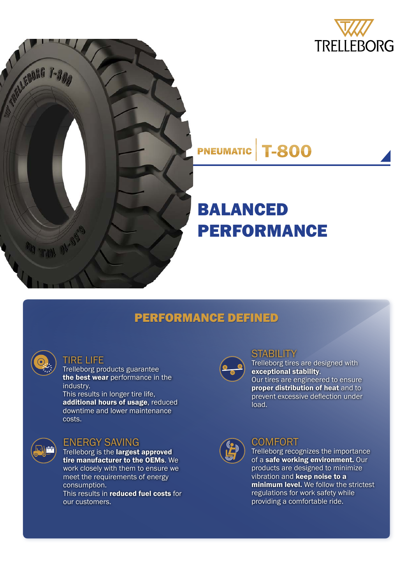



#### **T-800 PNEUMATIC**

# BALANCED PERFORMANCE

## PERFORMANCE DEFINED



#### TIRE LIFE

Trelleborg products guarantee the best wear performance in the industry.

This results in longer tire life, additional hours of usage, reduced downtime and lower maintenance costs.



#### ENERGY SAVING

Trelleborg is the largest approved tire manufacturer to the OEMs. We work closely with them to ensure we meet the requirements of energy consumption. This results in reduced fuel costs for our customers.



## **STABILITY**

Trelleborg tires are designed with exceptional stability. Our tires are engineered to ensure proper distribution of heat and to prevent excessive deflection under load.



### **COMFORT**

Trelleborg recognizes the importance of a safe working environment. Our products are designed to minimize vibration and **keep noise to a** minimum level. We follow the strictest regulations for work safety while providing a comfortable ride.